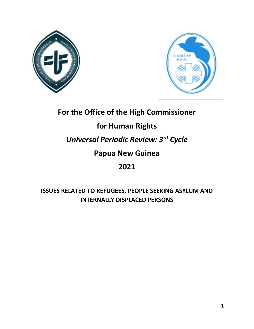



# **For the Office of the High Commissioner**

# **for Human Rights**

# *Universal Periodic Review: 3rd Cycle*

## **Papua New Guinea**

# **2021**

### **ISSUES RELATED TO REFUGEES, PEOPLE SEEKING ASYLUM AND INTERNALLY DISPLACED PERSONS**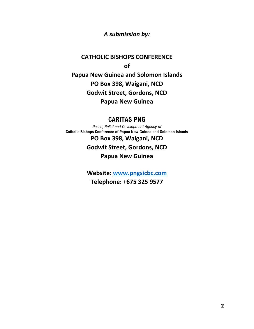### *A submission by:*

### **CATHOLIC BISHOPS CONFERENCE of Papua New Guinea and Solomon Islands PO Box 398, Waigani, NCD Godwit Street, Gordons, NCD Papua New Guinea**

### **CARITAS PNG**

*Peace, Relief and Development Agency of* **Catholic Bishops Conference of Papua New Guinea and Solomon Islands PO Box 398, Waigani, NCD Godwit Street, Gordons, NCD Papua New Guinea**

> **Website: [www.pngsicbc.com](http://www.pngsicbc.com/) Telephone: +675 325 9577**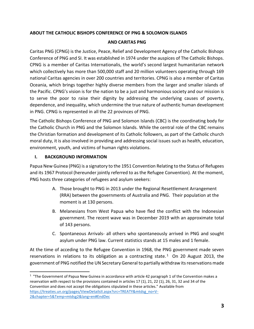#### **ABOUT THE CATHOLIC BISHOPS CONFERENCE OF PNG & SOLOMON ISLANDS**

#### **AND CARITAS PNG**

Caritas PNG (CPNG) is the Justice, Peace, Relief and Development Agency of the Catholic Bishops Conference of PNG and SI. It was established in 1974 under the auspices of The Catholic Bishops. CPNG is a member of Caritas Internationalis, the world's second largest humanitarian network which collectively has more than 500,000 staff and 20 million volunteers operating through 169 national Caritas agencies in over 200 countries and territories. CPNG is also a member of Caritas Oceania, which brings together highly diverse members from the larger and smaller islands of the Pacific. CPNG's vision is for the nation to be a just and harmonious society and our mission is to serve the poor to raise their dignity by addressing the underlying causes of poverty, dependence, and inequality, which undermine the true nature of authentic human development in PNG. CPNG is represented in all the 22 provinces of PNG.

The Catholic Bishops Conference of PNG and Solomon Islands (CBC) is the coordinating body for the Catholic Church in PNG and the Solomon Islands. While the central role of the CBC remains the Christian formation and development of its Catholic followers, as part of the Catholic church moral duty, it is also involved in providing and addressing social issues such as health, education, environment, youth, and victims of human rights violations.

#### **I. BACKGROUND INFORMATION**

Papua New Guinea (PNG) is a signatory to the 1951 Convention Relating to the Status of Refugees and its 1967 Protocol (hereunder jointly referred to as the Refugee Convention). At the moment, PNG hosts three categories of refugees and asylum seekers:

- A. Those brought to PNG in 2013 under the Regional Resettlement Arrangement (RRA) between the governments of Australia and PNG. Their population at the moment is at 130 persons.
- B. Melanesians from West Papua who have fled the conflict with the Indonesian government. The recent wave was in December 2019 with an approximate total of 143 persons.
- C. Spontaneous Arrivals- all others who spontaneously arrived in PNG and sought asylum under PNG law. Current statistics stands at 15 males and 1 female.

At the time of acceding to the Refugee Convention in 1968, the PNG government made seven reservations in relations to its obligation as a contracting state.<sup>1</sup> On 20 August 2013, the government of PNG notified the UN Secretary General to partially withdraw its reservations made

 $<sup>1</sup>$  "The Government of Papua New Guinea in accordance with article 42 paragraph 1 of the Convention makes a</sup> reservation with respect to the provisions contained in articles 17 (1), 21, 22 (1), 26, 31, 32 and 34 of the Convention and does not accept the obligations stipulated in these articles." Available from [https://treaties.un.org/pages/ViewDetailsII.aspx?src=TREATY&mtdsg\\_no=V-](https://treaties.un.org/pages/ViewDetailsII.aspx?src=TREATY&mtdsg_no=V-2&chapter=5&Temp=mtdsg2&lang=en#EndDec)[2&chapter=5&Temp=mtdsg2&lang=en#EndDec](https://treaties.un.org/pages/ViewDetailsII.aspx?src=TREATY&mtdsg_no=V-2&chapter=5&Temp=mtdsg2&lang=en#EndDec)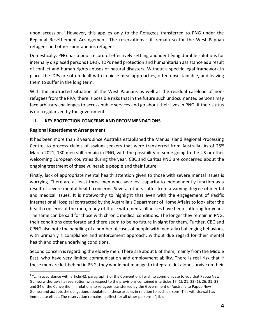upon accession.<sup>2</sup> However, this applies only to the Refugees transferred to PNG under the Regional Resettlement Arrangement. The reservations still remain so for the West Papuan refugees and other spontaneous refugees.

Domestically, PNG has a poor record of effectively settling and identifying durable solutions for internally displaced persons (IDPs). IDPs need protection and humanitarian assistance as a result of conflict and human rights abuses or natural disasters. Without a specific legal framework in place, the IDPs are often dealt with in piece meal approaches, often unsustainable, and leaving them to suffer in the long term.

With the protracted situation of the West Papuans as well as the residual caseload of nonrefugees from the RRA, there is possible risks that in the future such undocumented persons may face arbitrary challenges to access public services and go about their lives in PNG, if their status is not regularized by the government.

#### **II. KEY PROTECTION CONCERNS AND RECOMMENDATIONS**

#### **Regional Resettlement Arrangement**

It has been more than 8 years since Australia established the Manus Island Regional Processing Centre, to process claims of asylum seekers that were transferred from Australia. As of 25<sup>th</sup> March 2021, 130 men still remain in PNG, with the possibility of some going to the US or other welcoming European countries during the year. CBC and Caritas PNG are concerned about the ongoing treatment of these vulnerable people and their future.

Firstly, lack of appropriate mental health attention given to those with severe mental issues is worrying. There are at least three men who have lost capacity to independently function as a result of severe mental health concerns. Several others suffer from a varying degree of mental and medical issues. It is noteworthy to highlight that even with the engagement of Pacific International Hospital contracted by the Australia's Department of Home Affairs to look after the health concerns of the men, many of those with mental illnesses have been suffering for years. The same can be said for those with chronic medical conditions. The longer they remain in PNG, their conditions deteriorate and there seem to be no future in sight for them. Further, CBC and CPNG also note the handling of a number of cases of people with mentally challenging behaviors, with primarily a compliance and enforcement approach, without due regard for their mental health and other underlying conditions.

Second concern is regarding the elderly men. There are about 6 of them, mainly from the Middle East, who have very limited communication and employment ability. There is real risk that if these men are left behind in PNG, they would not manage to integrate, let alone survive on their

 $2<sup>2</sup>$  ... In accordance with article 42, paragraph 2 of the Convention, I wish to communicate to you that Papua New Guinea withdraws its reservation with respect to the provisions contained in articles 17 (1), 21, 22 (1), 26, 31, 32 and 34 of the Convention in relations to refugees transferred by the Government of Australia to Papua New Guinea and accepts the obligations stipulated in these articles in relation to such persons. This withdrawal has immediate effect. The reservation remains in effect for all other persons…", ibid.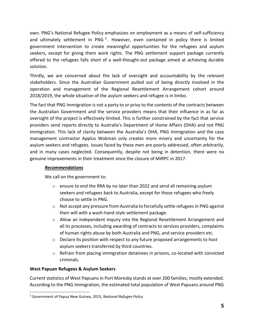own. PNG's National Refugee Policy emphasizes on employment as a means of self-sufficiency and ultimately settlement in PNG<sup>3</sup>. However, even contained in policy there is limited government intervention to create meaningful opportunities for the refugees and asylum seekers, except for giving them work rights. The PNG settlement support package currently offered to the refugees falls short of a well-thought-out package aimed at achieving durable solution.

Thirdly, we are concerned about the lack of oversight and accountability by the relevant stakeholders. Since the Australian Government pulled out of being directly involved in the operation and management of the Regional Resettlement Arrangement cohort around 2018/2019, the whole situation of the asylum seekers and refugee is in limbo.

The fact that PNG Immigration is not a party to or privy to the contents of the contracts between the Australian Government and the service providers means that their influence in as far as oversight of the project is effectively limited. This is further constrained by the fact that service providers send reports directly to Australia's Department of Home Affairs (DHA) and not PNG Immigration. This lack of clarity between the Australia's DHA, PNG Immigration and the case management contractor Applus Wokman only creates more misery and uncertainty for the asylum seekers and refugees. Issues faced by these men are poorly addressed, often arbitrarily, and in many cases neglected. Consequently, despite not being in detention, there were no genuine improvements in their treatment since the closure of MIRPC in 2017.

#### *Recommendations*

We call on the government to:

- $\circ$  ensure to end the RRA by no later than 2022 and send all remaining asylum seekers and refugees back to Australia, except for those refugees who freely choose to settle in PNG.
- $\circ$  Not accept any pressure from Australia to forcefully settle refugees in PNG against their will with a wash-hand style settlement package.
- $\circ$  Allow an independent inquiry into the Regional Resettlement Arrangement and all its processes, including awarding of contracts to services providers, complaints of human rights abuse by both Australia and PNG, and service providers etc.
- $\circ$  Declare its position with respect to any future proposed arrangements to host asylum seekers transferred by third countries.
- $\circ$  Refrain from placing immigration detainees in prisons, co-located with convicted criminals.

#### **West Papuan Refugees & Asylum Seekers**

Current statistics of West Papuans in Port Moresby stands at over 200 families, mostly extended. According to the PNG Immigration, the estimated total population of West Papuans around PNG

<sup>3</sup> Government of Papua New Guinea, 2015, *National Refugee Policy*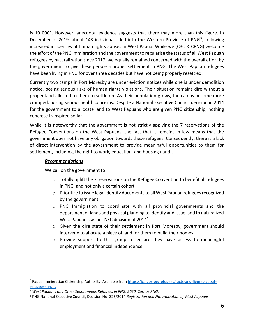is 10 000<sup>4</sup>. However, anecdotal evidence suggests that there may more than this figure. In December of 2019, about 143 individuals fled into the Western Province of PNG<sup>5</sup>, following increased incidences of human rights abuses in West Papua. While we (CBC & CPNG) welcome the effort of the PNG Immigration and the government to regularize the status of all West Papuan refugees by naturalization since 2017, we equally remained concerned with the overall effort by the government to give these people a proper settlement in PNG. The West Papuan refugees have been living in PNG for over three decades but have not being properly resettled.

Currently two camps in Port Moresby are under eviction notices while one is under demolition notice, posing serious risks of human rights violations. Their situation remains dire without a proper land allotted to them to settle on. As their population grows, the camps become more cramped, posing serious health concerns. Despite a National Executive Council decision in 2014 for the government to allocate land to West Papuans who are given PNG citizenship, nothing concrete transpired so far.

While it is noteworthy that the government is not strictly applying the 7 reservations of the Refugee Conventions on the West Papuans, the fact that it remains in law means that the government does not have any obligation towards these refugees. Consequently, there is a lack of direct intervention by the government to provide meaningful opportunities to them for settlement, including, the right to work, education, and housing (land).

#### *Recommendations*

We call on the government to:

- $\circ$  Totally uplift the 7 reservations on the Refugee Convention to benefit all refugees in PNG, and not only a certain cohort
- $\circ$  Prioritize to issue legal identity documents to all West Papuan refugees recognized by the government
- $\circ$  PNG Immigration to coordinate with all provincial governments and the department of lands and physical planning to identify and issue land to naturalized West Papuans, as per NEC decision of 2014<sup>6</sup>
- o Given the dire state of their settlement in Port Moresby, government should intervene to allocate a piece of land for them to build their homes
- o Provide support to this group to ensure they have access to meaningful employment and financial independence.

<sup>4</sup> Papua Immigration Citizenship Authority. Available from [https://ica.gov.pg/refugees/facts-and-figures-about](https://ica.gov.pg/refugees/facts-and-figures-about-refugees-in-png)[refugees-in-png](https://ica.gov.pg/refugees/facts-and-figures-about-refugees-in-png)

<sup>5</sup> *West Papuans and Other Spontaneous Refugees in PNG, 2020, Caritas PNG.*

<sup>6</sup> PNG National Executive Council, Decision No: 326/2014 *Registration and Naturalization of West Papuans*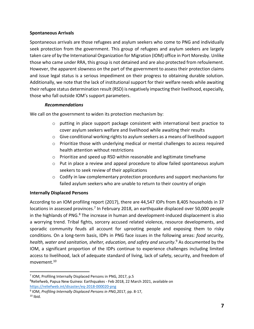#### **Spontaneous Arrivals**

Spontaneous arrivals are those refugees and asylum seekers who come to PNG and individually seek protection from the government. This group of refugees and asylum seekers are largely taken care of by the International Organization for Migration (IOM) office in Port Moresby. Unlike those who came under RRA, this group is not detained and are also protected from refoulement. However, the apparent slowness on the part of the government to assess their protection claims and issue legal status is a serious impediment on their progress to obtaining durable solution. Additionally, we note that the lack of institutional support for their welfare needs while awaiting their refugee status determination result (RSD) is negatively impacting their livelihood, especially, those who fall outside IOM's support parameters.

#### *Recommendations*

We call on the government to widen its protection mechanism by:

- o putting in place support package consistent with international best practice to cover asylum seekers welfare and livelihood while awaiting their results
- o Give conditional working rights to asylum seekers as a means of livelihood support
- o Prioritize those with underlying medical or mental challenges to access required health attention without restrictions
- o Prioritize and speed up RSD within reasonable and legitimate timeframe
- o Put in place a review and appeal procedure to allow failed spontaneous asylum seekers to seek review of their applications
- $\circ$  Codify in law complementary protection procedures and support mechanisms for failed asylum seekers who are unable to return to their country of origin

#### **Internally Displaced Persons**

According to an IOM profiling report (2017), there are 44,547 IDPs from 8,405 households in 37 locations in assessed provinces.<sup>7</sup> In February 2018, an earthquake displaced over 50,000 people in the highlands of PNG. $8$  The increase in human and development-induced displacement is also a worrying trend. Tribal fights, sorcery accused related violence, resource developments, and sporadic community feuds all account for uprooting people and exposing them to risky conditions. On a long-term basis, IDPs in PNG face issues in the following areas: *food security, health, water and sanitation, shelter, education, and safety and security*. <sup>9</sup> As documented by the IOM, a significant proportion of the IDPs continue to experience challenges including limited access to livelihood, lack of adequate standard of living, lack of safety, security, and freedom of movement.<sup>10</sup>

<sup>&</sup>lt;sup>7</sup> IOM, Profiling Internally Displaced Persons in PNG, 2017, p.5

<sup>&</sup>lt;sup>8</sup>Reliefweb, Papua New Guinea: Earthquakes - Feb 2018, 22 March 2021, available on <https://reliefweb.int/disaster/eq-2018-000020-png>

<sup>9</sup> IOM, *Profiling Internally Displaced Persons in PNG*,2017, pp. 8-17,

 $10$  Ibid.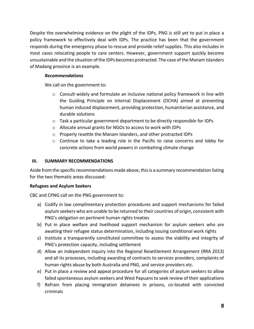Despite the overwhelming evidence on the plight of the IDPs, PNG is still yet to put in place a policy framework to effectively deal with IDPs. The practice has been that the government responds during the emergency phase to rescue and provide relief supplies. This also includes in most cases relocating people to care centers. However, government support quickly become unsustainable and the situation of the IDPs becomes protracted. The case of the Manam Islanders of Madang province is an example.

#### *Recommendations*

We call on the government to:

- $\circ$  Consult widely and formulate an inclusive national policy framework in line with the Guiding Principle on Internal Displacement (OCHA) aimed at preventing human induced displacement, providing protection, humanitarian assistance, and durable solutions
- o Task a particular government department to be directly responsible for IDPs
- o Allocate annual grants for NGOs to access to work with IDPs
- o Properly resettle the Manam Islanders, and other protracted IDPs
- o Continue to take a leading role in the Pacific to raise concerns and lobby for concrete actions from world powers in combatting climate change

#### **III. SUMMARY RECOMMENDATIONS**

Aside from the specific recommendations made above, this is a summary recommendation listing for the two thematic areas discussed:

#### **Refugees and Asylum Seekers**

CBC and CPNG call on the PNG government to:

- a) Codify in law complimentary protection procedures and support mechanisms for failed asylum seekers who are unable to be returned to their countries of origin, consistent with PNG's obligation on pertinent human rights treaties
- b) Put in place welfare and livelihood support mechanism for asylum seekers who are awaiting their refugee status determination, including issuing conditional work rights
- c) Institute a transparently constituted committee to assess the viability and integrity of PNG's protection capacity, including settlement
- d) Allow an independent inquiry into the Regional Resettlement Arrangement (RRA 2013) and all its processes, including awarding of contracts to services providers, complaints of human rights abuse by both Australia and PNG, and service providers etc.
- e) Put in place a review and appeal procedure for all categories of asylum seekers to allow failed spontaneous asylum seekers and West Papuansto seek review of their applications
- f) Refrain from placing immigration detainees in prisons, co-located with convicted criminals